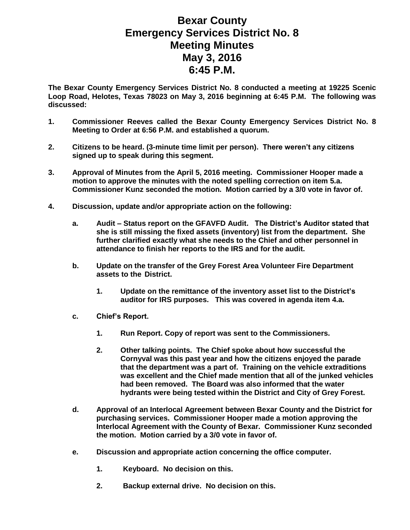## **Bexar County Emergency Services District No. 8 Meeting Minutes May 3, 2016 6:45 P.M.**

**The Bexar County Emergency Services District No. 8 conducted a meeting at 19225 Scenic Loop Road, Helotes, Texas 78023 on May 3, 2016 beginning at 6:45 P.M. The following was discussed:**

- **1. Commissioner Reeves called the Bexar County Emergency Services District No. 8 Meeting to Order at 6:56 P.M. and established a quorum.**
- **2. Citizens to be heard. (3-minute time limit per person). There weren't any citizens signed up to speak during this segment.**
- **3. Approval of Minutes from the April 5, 2016 meeting. Commissioner Hooper made a motion to approve the minutes with the noted spelling correction on item 5.a. Commissioner Kunz seconded the motion. Motion carried by a 3/0 vote in favor of.**
- **4. Discussion, update and/or appropriate action on the following:**
	- **a. Audit – Status report on the GFAVFD Audit. The District's Auditor stated that she is still missing the fixed assets (inventory) list from the department. She further clarified exactly what she needs to the Chief and other personnel in attendance to finish her reports to the IRS and for the audit.**
	- **b. Update on the transfer of the Grey Forest Area Volunteer Fire Department assets to the District.** 
		- **1. Update on the remittance of the inventory asset list to the District's auditor for IRS purposes. This was covered in agenda item 4.a.**
	- **c. Chief's Report.**
		- **1. Run Report. Copy of report was sent to the Commissioners.**
		- **2. Other talking points. The Chief spoke about how successful the Cornyval was this past year and how the citizens enjoyed the parade that the department was a part of. Training on the vehicle extraditions was excellent and the Chief made mention that all of the junked vehicles had been removed. The Board was also informed that the water hydrants were being tested within the District and City of Grey Forest.**
	- **d. Approval of an Interlocal Agreement between Bexar County and the District for purchasing services. Commissioner Hooper made a motion approving the Interlocal Agreement with the County of Bexar. Commissioner Kunz seconded the motion. Motion carried by a 3/0 vote in favor of.**
	- **e. Discussion and appropriate action concerning the office computer.**
		- **1. Keyboard. No decision on this.**
		- **2. Backup external drive. No decision on this.**